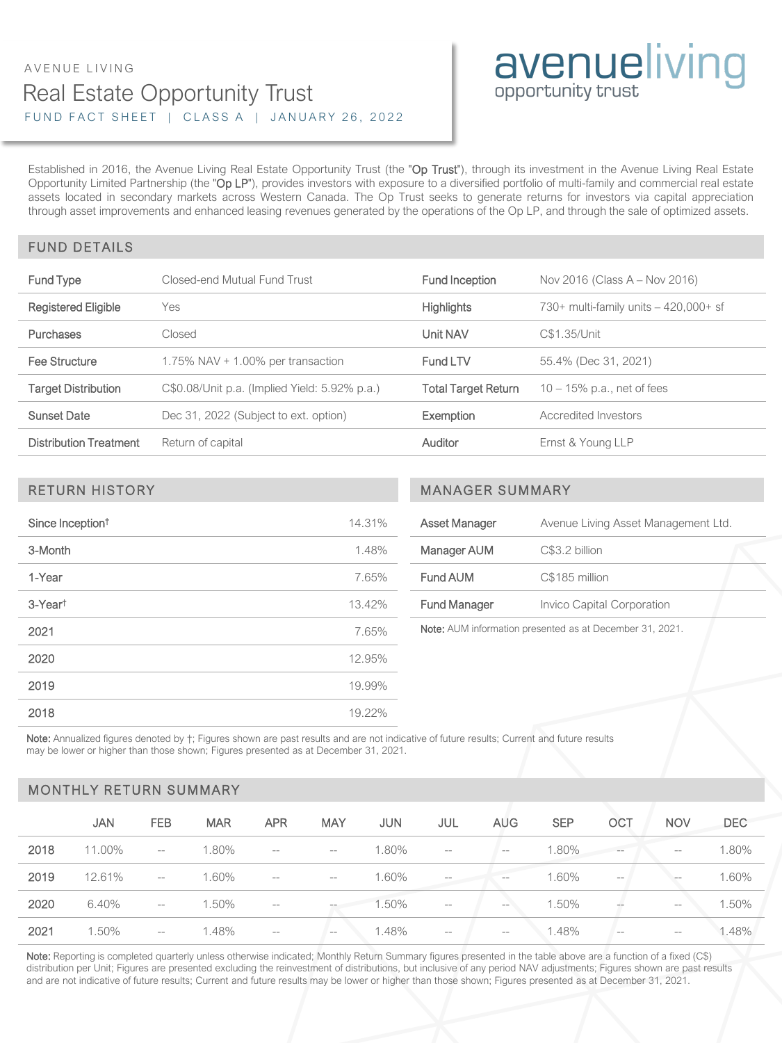### Real Estate Opportunity Trust FUND FACT SHEET | CLASS A | JANUARY 26, 2022 AVENUE LIVING

# avenueliving

Established in 2016, the Avenue Living Real Estate Opportunity Trust (the "Op Trust"), through its investment in the Avenue Living Real Estate Opportunity Limited Partnership (the "Op LP"), provides investors with exposure to a diversified portfolio of multi-family and commercial real estate assets located in secondary markets across Western Canada. The Op Trust seeks to generate returns for investors via capital appreciation through asset improvements and enhanced leasing revenues generated by the operations of the Op LP, and through the sale of optimized assets.

#### FUND DETAILS

| <b>Fund Type</b>              | Closed-end Mutual Fund Trust                  | Fund Inception      | Nov 2016 (Class A - Nov 2016)          |  |  |
|-------------------------------|-----------------------------------------------|---------------------|----------------------------------------|--|--|
| <b>Registered Eligible</b>    | Yes                                           | <b>Highlights</b>   | 730+ multi-family units $-420,000+$ sf |  |  |
| Purchases                     | Closed                                        | Unit NAV            | C\$1.35/Unit                           |  |  |
| Fee Structure                 | 1.75% NAV $+$ 1.00% per transaction           | Fund LTV            | 55.4% (Dec 31, 2021)                   |  |  |
| <b>Target Distribution</b>    | C\$0.08/Unit p.a. (Implied Yield: 5.92% p.a.) | Total Target Return | $10 - 15\%$ p.a., net of fees          |  |  |
| <b>Sunset Date</b>            | Dec 31, 2022 (Subject to ext. option)         | <b>Exemption</b>    | Accredited Investors                   |  |  |
| <b>Distribution Treatment</b> | Return of capital                             | Auditor             | Ernst & Young LLP                      |  |  |

| Since Inception <sup>t</sup> | 14.31% |
|------------------------------|--------|
| 3-Month                      | 1.48%  |
| 1-Year                       | 7.65%  |
| 3-Yeart                      | 13.42% |
| 2021                         | 7.65%  |
| 2020                         | 12.95% |
| 2019                         | 19.99% |
| 2018                         | 19.22% |

#### RETURN HISTORY MANAGER SUMMARY

| Asset Manager                                                     | Avenue Living Asset Management Ltd. |  |  |  |  |
|-------------------------------------------------------------------|-------------------------------------|--|--|--|--|
| Manager AUM                                                       | C\$3.2 billion                      |  |  |  |  |
| Fund AUM                                                          | C\$185 million                      |  |  |  |  |
| <b>Fund Manager</b>                                               | Invico Capital Corporation          |  |  |  |  |
| Nata: $\Lambda$ LIM information procented as at December 21, 2021 |                                     |  |  |  |  |

Note: AUM information presented as at December 31, 2021.

Note: Annualized figures denoted by  $\dagger$ ; Figures shown are past results and are not indicative of future results; Current and future results may be lower or higher than those shown; Figures presented as at December 31, 2021.

#### MONTHLY RETURN SUMMARY

|      | JAN    | <b>FEB</b>               | <b>MAR</b> | <b>APR</b>                                          | <b>MAY</b> | <b>JUN</b> | JUL                                                 | <b>AUG</b>        | <b>SEP</b> | OCT                      | <b>NOV</b>        | <b>DEC</b> |
|------|--------|--------------------------|------------|-----------------------------------------------------|------------|------------|-----------------------------------------------------|-------------------|------------|--------------------------|-------------------|------------|
| 2018 | 11.00% | $- -$                    | 1.80%      | $\overline{\phantom{a}}$                            | $-\,-$     | 1.80%      | $\qquad \qquad -$                                   | $-\,-$            | 1.80%      | $- -$                    | $\qquad \qquad -$ | 1.80%      |
| 2019 | 12.61% | $\overline{\phantom{a}}$ | 1.60%      | $\overline{\phantom{a}}$                            | $-\,-$     | 1.60%      | $\qquad \qquad -$                                   | $\qquad \qquad -$ | 1.60%      | $\qquad \qquad -$        | $\qquad \qquad -$ | 1.60%      |
| 2020 | 6.40%  | $-\,-$                   | 1.50%      | $\hspace{0.05cm} -\hspace{0.05cm} -\hspace{0.05cm}$ | $-\,-$     | 1.50%      | $\hspace{0.05cm} -\hspace{0.05cm} -\hspace{0.05cm}$ | $- -$             | 1.50%      | $\overline{\phantom{a}}$ | $\qquad \qquad -$ | 1.50%      |
| 2021 | 1.50%  | $\qquad \qquad -$        | .48%       | $-\!$                                               | $-\,-$     | 1.48%      | $-\,-$                                              | $-\,-$            | 1.48%      | $\qquad \qquad -$        | $-\,-$            | .48%       |

Note: Reporting is completed quarterly unless otherwise indicated; Monthly Return Summary figures presented in the table above are a function of a fixed (C\$) distribution per Unit; Figures are presented excluding the reinvestment of distributions, but inclusive of any period NAV adjustments; Figures shown are past results and are not indicative of future results; Current and future results may be lower or higher than those shown; Figures presented as at December 31, 2021.